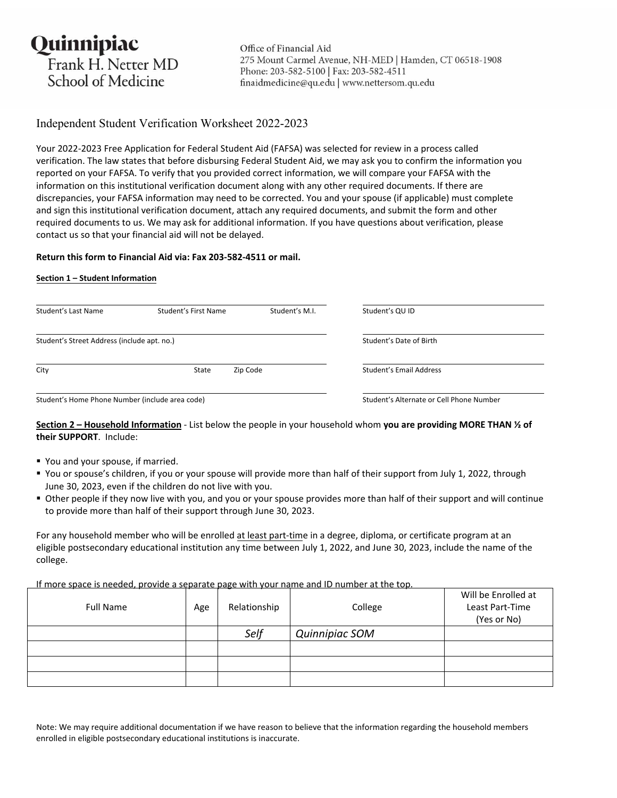Quinnipiac Frank H. Netter MD School of Medicine

Office of Financial Aid 275 Mount Carmel Avenue, NH-MED | Hamden, CT 06518-1908 Phone: 203-582-5100 | Fax: 203-582-4511 finaidmedicine@qu.edu | www.nettersom.qu.edu

# Independent Student Verification Worksheet 2022-2023

Your 2022‐2023 Free Application for Federal Student Aid (FAFSA) was selected for review in a process called verification. The law states that before disbursing Federal Student Aid, we may ask you to confirm the information you reported on your FAFSA. To verify that you provided correct information, we will compare your FAFSA with the information on this institutional verification document along with any other required documents. If there are discrepancies, your FAFSA information may need to be corrected. You and your spouse (if applicable) must complete and sign this institutional verification document, attach any required documents, and submit the form and other required documents to us. We may ask for additional information. If you have questions about verification, please contact us so that your financial aid will not be delayed.

## **Return this form to Financial Aid via: Fax 203‐582‐4511 or mail.**

## **Section 1 – Student Information**

| Student's Last Name                             | Student's First Name | Student's M.I.                           | Student's QU ID         |
|-------------------------------------------------|----------------------|------------------------------------------|-------------------------|
| Student's Street Address (include apt. no.)     |                      |                                          | Student's Date of Birth |
| City                                            | State                | Zip Code                                 | Student's Email Address |
| Student's Home Phone Number (include area code) |                      | Student's Alternate or Cell Phone Number |                         |

## **Section 2 – Household Information** ‐ List below the people in your household whom **you are providing MORE THAN ½ of their SUPPORT**. Include:

- You and your spouse, if married.
- You or spouse's children, if you or your spouse will provide more than half of their support from July 1, 2022, through June 30, 2023, even if the children do not live with you.
- Other people if they now live with you, and you or your spouse provides more than half of their support and will continue to provide more than half of their support through June 30, 2023.

For any household member who will be enrolled at least part-time in a degree, diploma, or certificate program at an eligible postsecondary educational institution any time between July 1, 2022, and June 30, 2023, include the name of the college.

If more space is needed, provide a separate page with your name and ID number at the top.

| $\sim$ $\sim$<br><b>Full Name</b> | Age | $\tilde{\phantom{a}}$<br>Relationship | College        | Will be Enrolled at<br>Least Part-Time<br>(Yes or No) |
|-----------------------------------|-----|---------------------------------------|----------------|-------------------------------------------------------|
|                                   |     | Self                                  | Quinnipiac SOM |                                                       |
|                                   |     |                                       |                |                                                       |
|                                   |     |                                       |                |                                                       |
|                                   |     |                                       |                |                                                       |

Note: We may require additional documentation if we have reason to believe that the information regarding the household members enrolled in eligible postsecondary educational institutions is inaccurate.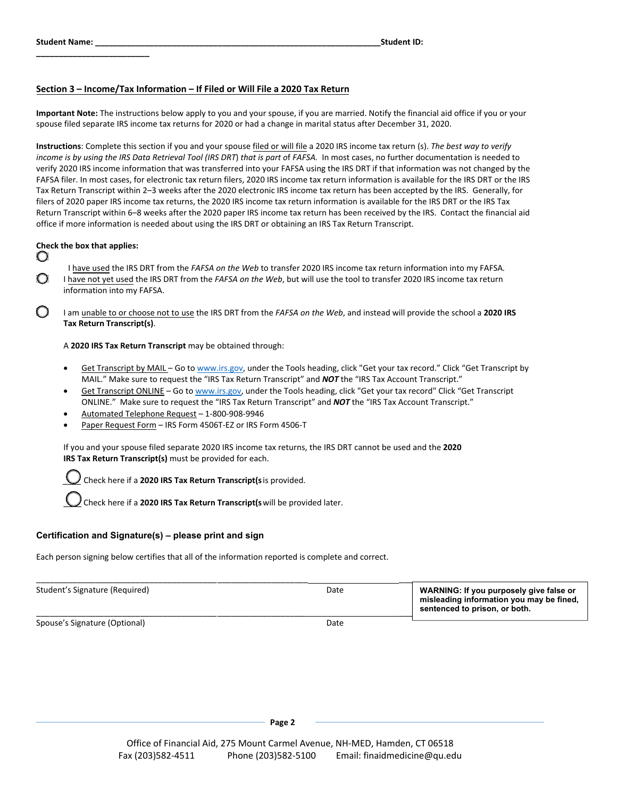**\_\_\_\_\_\_\_\_\_\_\_\_\_\_\_\_\_\_\_\_\_\_\_\_\_** 

### **Section 3 – Income/Tax Information – If Filed or Will File a 2020 Tax Return**

**Important Note:** The instructions below apply to you and your spouse, if you are married. Notify the financial aid office if you or your spouse filed separate IRS income tax returns for 2020 or had a change in marital status after December 31, 2020.

**Instructions**: Complete this section if you and your spouse filed or will file a 2020 IRS income tax return (s). *The best way to verify income is by using the IRS Data Retrieval Tool (IRS DRT*) *that is part o*f *FAFSA.* In most cases, no further documentation is needed to verify 2020 IRS income information that was transferred into your FAFSA using the IRS DRT if that information was not changed by the FAFSA filer. In most cases, for electronic tax return filers, 2020 IRS income tax return information is available for the IRS DRT or the IRS Tax Return Transcript within 2–3 weeks after the 2020 electronic IRS income tax return has been accepted by the IRS. Generally, for filers of 2020 paper IRS income tax returns, the 2020 IRS income tax return information is available for the IRS DRT or the IRS Tax Return Transcript within 6–8 weeks after the 2020 paper IRS income tax return has been received by the IRS. Contact the financial aid office if more information is needed about using the IRS DRT or obtaining an IRS Tax Return Transcript.

#### **Check the box that applies:**

О

Ο

I have used the IRS DRT from the *FAFSA on the Web* to transfer 2020 IRS income tax return information into my FAFSA*.*  I have not yet used the IRS DRT from the *FAFSA on the Web*, but will use the tool to transfer 2020 IRS income tax return information into my FAFSA.

I am unable to or choose not to use the IRS DRT from the *FAFSA on the Web*, and instead will provide the school a **2020 IRS Tax Return Transcript(s)**.

A **2020 IRS Tax Return Transcript** may be obtained through:

- Get Transcript by MAIL Go to [www.irs.gov](http://www.irs.gov), under the Tools heading, click "Get your tax record." Click "Get Transcript by MAIL." Make sure to request the "IRS Tax Return Transcript" and *NOT* the "IRS Tax Account Transcript."
- Get Transcript ONLINE Go to [www.irs.gov,](http://www.irs.gov) under the Tools heading, click "Get your tax record" Click "Get Transcript ONLINE." Make sure to request the "IRS Tax Return Transcript" and *NOT* the "IRS Tax Account Transcript."
- Automated Telephone Request 1‐800‐908‐9946
- Paper Request Form IRS Form 4506T‐EZ or IRS Form 4506‐T

If you and your spouse filed separate 2020 IRS income tax returns, the IRS DRT cannot be used and the **2020 IRS Tax Return Transcript(s)** must be provided for each.

*\_\_\_\_* Check here if a **2020 IRS Tax Return Transcript(s** is provided.

\_\_\_\_ Check here if a **2020 IRS Tax Return Transcript(s** will be provided later.

#### **Certification and Signature(s) – please print and sign**

Each person signing below certifies that all of the information reported is complete and correct.

| Student's Signature (Required) | Date | WARNING: If you purposely give false or<br>misleading information you may be fined,<br>sentenced to prison, or both. |
|--------------------------------|------|----------------------------------------------------------------------------------------------------------------------|
|                                |      |                                                                                                                      |

Spouse's Signature (Optional) and the control of the control of the control of the control of the control of the control of the control of the control of the control of the control of the control of the control of the cont